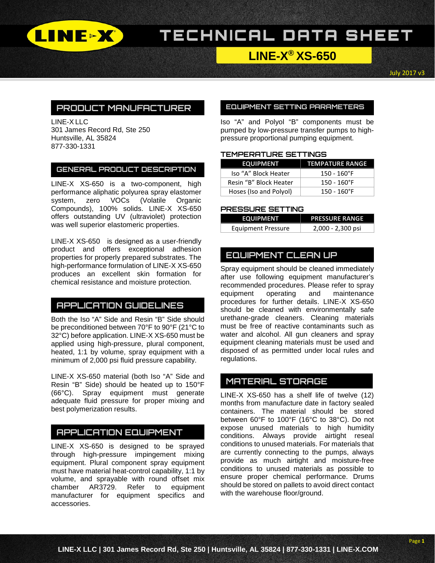

# TECHNICAL DATA SHEET

# **LINE-X® XS-650**

July 2017 v3

## **PRODUCT MANUFACTURER**

LINE-X LLC 301 James Record Rd, Ste 250 Huntsville, AL 35824 877-330-1331

### **GENERAL PRODUCT DESCRIPTION**

LINE-X XS-650 is a two-component, high performance aliphatic polyurea spray elastomer system, zero VOCs (Volatile Organic Compounds), 100% solids. LINE-X XS-650 offers outstanding UV (ultraviolet) protection was well superior elastomeric properties.

LINE-X XS-650 is designed as a user-friendly product and offers exceptional adhesion properties for properly prepared substrates. The high-performance formulation of LINE-X XS-650 produces an excellent skin formation for chemical resistance and moisture protection.

### **APPLICATION GUIDELINES**

Both the Iso "A" Side and Resin "B" Side should be preconditioned between 70°F to 90°F (21°C to 32°C) before application. LINE-X XS-650 must be applied using high-pressure, plural component, heated, 1:1 by volume, spray equipment with a minimum of 2,000 psi fluid pressure capability.

LINE-X XS-650 material (both Iso "A" Side and Resin "B" Side) should be heated up to 150°F (66°C). Spray equipment must generate adequate fluid pressure for proper mixing and best polymerization results.

### **APPLICATION EQUIPMENT**

LINE-X XS-650 is designed to be sprayed through high-pressure impingement mixing equipment. Plural component spray equipment must have material heat-control capability, 1:1 by volume, and sprayable with round offset mix chamber AR3729. Refer to equipment manufacturer for equipment specifics and accessories.

#### **EQUIPMENT SETTING PARAMETERS**

Iso "A" and Polyol "B" components must be pumped by low-pressure transfer pumps to highpressure proportional pumping equipment.

### **TEMPERATURE SETTINGS**

| <b>EQUIPMENT</b>       | <b>TEMPATURE RANGE</b> |  |
|------------------------|------------------------|--|
| Iso "A" Block Heater   | $150 - 160$ °F         |  |
| Resin "B" Block Heater | $150 - 160^{\circ}F$   |  |
| Hoses (Iso and Polyol) | $150 - 160$ °F         |  |

#### **PRESSURE SETTING**

| <b>EQUIPMENT</b>          | <b>PRESSURE RANGE</b> |
|---------------------------|-----------------------|
| <b>Equipment Pressure</b> | 2,000 - 2,300 psi     |

## **EQUIPMENT CLEAN UP**

Spray equipment should be cleaned immediately after use following equipment manufacturer's recommended procedures. Please refer to spray<br>equipment operating and maintenance equipment operating and maintenance procedures for further details. LINE-X XS-650 should be cleaned with environmentally safe urethane-grade cleaners. Cleaning materials must be free of reactive contaminants such as water and alcohol. All gun cleaners and spray equipment cleaning materials must be used and disposed of as permitted under local rules and regulations.

## **MATERIAL STORAGE**

LINE-X XS-650 has a shelf life of twelve (12) months from manufacture date in factory sealed containers. The material should be stored between 60°F to 100°F (16°C to 38°C). Do not expose unused materials to high humidity conditions. Always provide airtight reseal conditions to unused materials. For materials that are currently connecting to the pumps, always provide as much airtight and moisture-free conditions to unused materials as possible to ensure proper chemical performance. Drums should be stored on pallets to avoid direct contact with the warehouse floor/ground.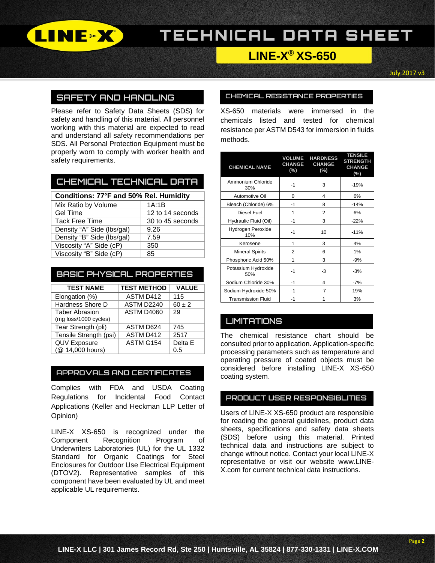

# TECHNICAL DATA SHEET

# **LINE-X® XS-650**

July 2017 v3

### **SAFETY AND HANDLING**

Please refer to Safety Data Sheets (SDS) for safety and handling of this material. All personnel working with this material are expected to read and understand all safety recommendations per SDS. All Personal Protection Equipment must be properly worn to comply with worker health and safety requirements.

### **CHEMICAL TECHNICAL DATA**

| Conditions: 77°F and 50% Rel. Humidity |                  |  |  |  |
|----------------------------------------|------------------|--|--|--|
| Mix Ratio by Volume                    | 1A:1B            |  |  |  |
| <b>Gel Time</b>                        | 12 to 14 seconds |  |  |  |
| <b>Tack Free Time</b>                  | 30 to 45 seconds |  |  |  |
| Density "A" Side (lbs/gal)             | 9.26             |  |  |  |
| Density "B" Side (lbs/gal)             | 7.59             |  |  |  |
| Viscosity "A" Side (cP)                | 350              |  |  |  |
| Viscosity "B" Side (cP)                | 85               |  |  |  |

### **BASIC PHYSICAL PROPERTIES**

| <b>TEST NAME</b>                               | <b>TEST METHOD</b> | <b>VALUE</b> |
|------------------------------------------------|--------------------|--------------|
| Elongation (%)                                 | ASTM D412          | 115          |
| Hardness Shore D                               | ASTM D2240         | $60 \pm 2$   |
| <b>Taber Abrasion</b><br>(mg loss/1000 cycles) | ASTM D4060         | 29           |
| Tear Strength (pli)                            | ASTM D624          | 745          |
| Tensile Strength (psi)                         | ASTM D412          | 2517         |
| <b>QUV Exposure</b>                            | ASTM G154          | Delta E      |
| (@ 14,000 hours)                               |                    | 0.5          |

### **APPROVALS AND CERTIFICATES**

Complies with FDA and USDA Coating Regulations for Incidental Food Contact Applications (Keller and Heckman LLP Letter of Opinion)

LINE-X XS-650 is recognized under the Component Recognition Program of Underwriters Laboratories (UL) for the UL 1332 Standard for Organic Coatings for Steel Enclosures for Outdoor Use Electrical Equipment (DTOV2). Representative samples of this component have been evaluated by UL and meet applicable UL requirements.

#### **CHEMICAL RESISTANCE PROPERTIES**

XS-650 materials were immersed in the chemicals listed and tested for chemical resistance per ASTM D543 for immersion in fluids methods.

| <b>CHEMICAL NAME</b>       | <b>VOLUME</b><br>CHANGE<br>(%) | <b>HARDNESS</b><br><b>CHANGE</b><br>(%) | <b>TENSILE</b><br><b>STRENGTH</b><br><b>CHANGE</b><br>(%) |
|----------------------------|--------------------------------|-----------------------------------------|-----------------------------------------------------------|
| Ammonium Chloride<br>30%   | $-1$                           | 3                                       | $-19%$                                                    |
| Automotive Oil             | 0                              | 4                                       | 6%                                                        |
| Bleach (Chloride) 6%       | $-1$                           | 8                                       | $-14%$                                                    |
| Diesel Fuel                | 1                              | 2                                       | 6%                                                        |
| Hydraulic Fluid (Oil)      | -1                             | 3                                       | $-22%$                                                    |
| Hydrogen Peroxide<br>10%   | -1                             | 10                                      | $-11%$                                                    |
| Kerosene                   | 1                              | 3                                       | 4%                                                        |
| <b>Mineral Spirits</b>     | 2                              | 6                                       | 1%                                                        |
| Phosphoric Acid 50%        | 1                              | 3                                       | $-9%$                                                     |
| Potassium Hydroxide<br>50% | -1                             | -3                                      | $-3%$                                                     |
| Sodium Chloride 30%        | $-1$                           | 4                                       | $-7%$                                                     |
| Sodium Hydroxide 50%       | -1                             | -7                                      | 19%                                                       |
| <b>Transmission Fluid</b>  | $-1$                           | 1                                       | 3%                                                        |

### **LIMITATIONS**

The chemical resistance chart should be consulted prior to application. Application-specific processing parameters such as temperature and operating pressure of coated objects must be considered before installing LINE-X XS-650 coating system.

### **PRODUCT USER RESPONSIBLITIES**

Users of LINE-X XS-650 product are responsible for reading the general guidelines, product data sheets, specifications and safety data sheets (SDS) before using this material. Printed technical data and instructions are subject to change without notice. Contact your local LINE-X representative or visit our website www.LINE-X.com for current technical data instructions.